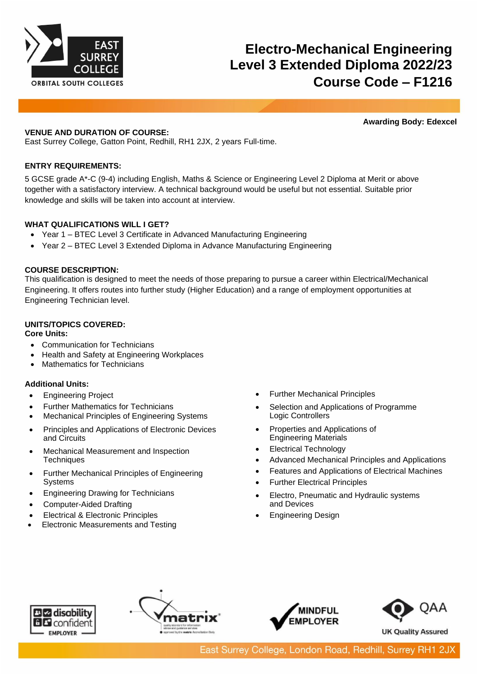

# **Electro-Mechanical Engineering Level 3 Extended Diploma 2022/23 Course Code – F1216**

**Awarding Body: Edexcel**

## **VENUE AND DURATION OF COURSE:**

East Surrey College, Gatton Point, Redhill, RH1 2JX, 2 years Full-time.

# **ENTRY REQUIREMENTS:**

5 GCSE grade A\*-C (9-4) including English, Maths & Science or Engineering Level 2 Diploma at Merit or above together with a satisfactory interview. A technical background would be useful but not essential. Suitable prior knowledge and skills will be taken into account at interview.

# **WHAT QUALIFICATIONS WILL I GET?**

- Year 1 BTEC Level 3 Certificate in Advanced Manufacturing Engineering
- Year 2 BTEC Level 3 Extended Diploma in Advance Manufacturing Engineering

# **COURSE DESCRIPTION:**

This qualification is designed to meet the needs of those preparing to pursue a career within Electrical/Mechanical Engineering. It offers routes into further study (Higher Education) and a range of employment opportunities at Engineering Technician level.

# **UNITS/TOPICS COVERED:**

**Core Units:**

- Communication for Technicians
- Health and Safety at Engineering Workplaces
- Mathematics for Technicians

## **Additional Units:**

- Engineering Project
- Further Mathematics for Technicians
- Mechanical Principles of Engineering Systems
- Principles and Applications of Electronic Devices and Circuits
- Mechanical Measurement and Inspection **Techniques**
- Further Mechanical Principles of Engineering **Systems**
- Engineering Drawing for Technicians
- Computer-Aided Drafting
- Electrical & Electronic Principles
- Electronic Measurements and Testing
- Further Mechanical Principles
- Selection and Applications of Programme Logic Controllers
- Properties and Applications of Engineering Materials
- Electrical Technology
- Advanced Mechanical Principles and Applications
- Features and Applications of Electrical Machines
- **Further Electrical Principles**
- Electro, Pneumatic and Hydraulic systems and Devices
- Engineering Design